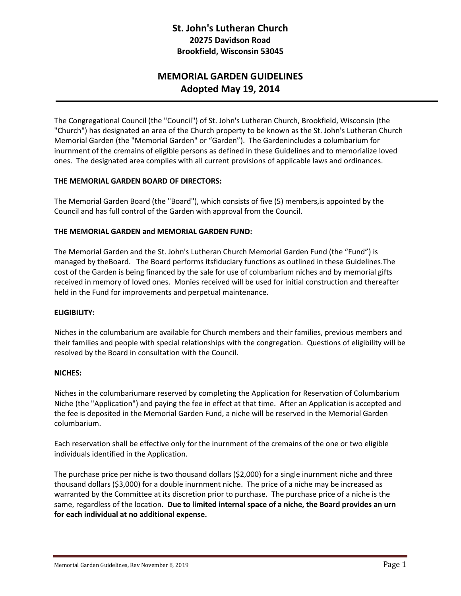## **St. John's Lutheran Church 20275 Davidson Road Brookfield, Wisconsin 53045**

# **MEMORIAL GARDEN GUIDELINES Adopted May 19, 2014**

The Congregational Council (the "Council") of St. John's Lutheran Church, Brookfield, Wisconsin (the "Church") has designated an area of the Church property to be known as the St. John's Lutheran Church Memorial Garden (the "Memorial Garden" or "Garden"). The Gardenincludes a columbarium for inurnment of the cremains of eligible persons as defined in these Guidelines and to memorialize loved ones. The designated area complies with all current provisions of applicable laws and ordinances.

### **THE MEMORIAL GARDEN BOARD OF DIRECTORS:**

The Memorial Garden Board (the "Board"), which consists of five (5) members,is appointed by the Council and has full control of the Garden with approval from the Council.

### **THE MEMORIAL GARDEN and MEMORIAL GARDEN FUND:**

The Memorial Garden and the St. John's Lutheran Church Memorial Garden Fund (the "Fund") is managed by theBoard. The Board performs itsfiduciary functions as outlined in these Guidelines.The cost of the Garden is being financed by the sale for use of columbarium niches and by memorial gifts received in memory of loved ones. Monies received will be used for initial construction and thereafter held in the Fund for improvements and perpetual maintenance.

### **ELIGIBILITY:**

Niches in the columbarium are available for Church members and their families, previous members and their families and people with special relationships with the congregation. Questions of eligibility will be resolved by the Board in consultation with the Council.

### **NICHES:**

Niches in the columbariumare reserved by completing the Application for Reservation of Columbarium Niche (the "Application") and paying the fee in effect at that time. After an Application is accepted and the fee is deposited in the Memorial Garden Fund, a niche will be reserved in the Memorial Garden columbarium.

Each reservation shall be effective only for the inurnment of the cremains of the one or two eligible individuals identified in the Application.

The purchase price per niche is two thousand dollars (\$2,000) for a single inurnment niche and three thousand dollars (\$3,000) for a double inurnment niche. The price of a niche may be increased as warranted by the Committee at its discretion prior to purchase. The purchase price of a niche is the same, regardless of the location. **Due to limited internal space of a niche, the Board provides an urn for each individual at no additional expense.**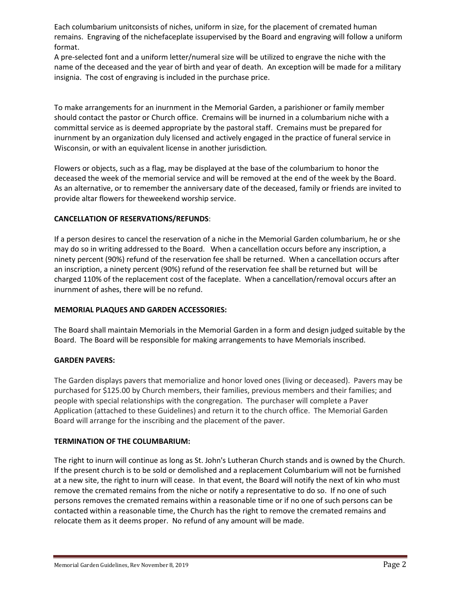Each columbarium unitconsists of niches, uniform in size, for the placement of cremated human remains. Engraving of the nichefaceplate issupervised by the Board and engraving will follow a uniform format.

A pre-selected font and a uniform letter/numeral size will be utilized to engrave the niche with the name of the deceased and the year of birth and year of death. An exception will be made for a military insignia. The cost of engraving is included in the purchase price.

To make arrangements for an inurnment in the Memorial Garden, a parishioner or family member should contact the pastor or Church office. Cremains will be inurned in a columbarium niche with a committal service as is deemed appropriate by the pastoral staff. Cremains must be prepared for inurnment by an organization duly licensed and actively engaged in the practice of funeral service in Wisconsin, or with an equivalent license in another jurisdiction*.*

Flowers or objects, such as a flag, may be displayed at the base of the columbarium to honor the deceased the week of the memorial service and will be removed at the end of the week by the Board. As an alternative, or to remember the anniversary date of the deceased, family or friends are invited to provide altar flowers for theweekend worship service.

### **CANCELLATION OF RESERVATIONS/REFUNDS**:

If a person desires to cancel the reservation of a niche in the Memorial Garden columbarium, he or she may do so in writing addressed to the Board. When a cancellation occurs before any inscription, a ninety percent (90%) refund of the reservation fee shall be returned. When a cancellation occurs after an inscription, a ninety percent (90%) refund of the reservation fee shall be returned but will be charged 110% of the replacement cost of the faceplate. When a cancellation/removal occurs after an inurnment of ashes, there will be no refund.

### **MEMORIAL PLAQUES AND GARDEN ACCESSORIES:**

The Board shall maintain Memorials in the Memorial Garden in a form and design judged suitable by the Board. The Board will be responsible for making arrangements to have Memorials inscribed.

### **GARDEN PAVERS:**

The Garden displays pavers that memorialize and honor loved ones (living or deceased). Pavers may be purchased for \$125.00 by Church members, their families, previous members and their families; and people with special relationships with the congregation. The purchaser will complete a Paver Application (attached to these Guidelines) and return it to the church office. The Memorial Garden Board will arrange for the inscribing and the placement of the paver.

### **TERMINATION OF THE COLUMBARIUM:**

The right to inurn will continue as long as St. John's Lutheran Church stands and is owned by the Church. If the present church is to be sold or demolished and a replacement Columbarium will not be furnished at a new site, the right to inurn will cease. In that event, the Board will notify the next of kin who must remove the cremated remains from the niche or notify a representative to do so. If no one of such persons removes the cremated remains within a reasonable time or if no one of such persons can be contacted within a reasonable time, the Church has the right to remove the cremated remains and relocate them as it deems proper. No refund of any amount will be made.